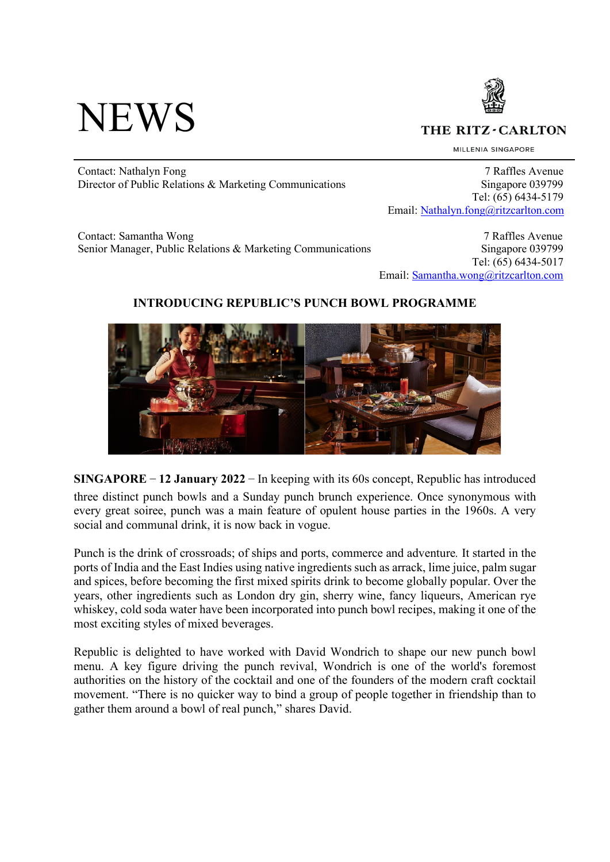# **NEWS**



THE RITZ - CARLTON

MILLENIA SINGAPORE

Contact: Nathalyn Fong 7 Raffles Avenue Director of Public Relations & Marketing Communications Singapore 039799

 Tel: (65) 6434-5179 Email: Nathalyn.fong@ritzcarlton.com

Contact: Samantha Wong 7 Raffles Avenue Senior Manager, Public Relations & Marketing Communications Singapore 039799

 Tel: (65) 6434-5017 Email: Samantha.wong@ritzcarlton.com

# **INTRODUCING REPUBLIC'S PUNCH BOWL PROGRAMME**



**SINGAPORE – 12 January 2022** – In keeping with its 60s concept, Republic has introduced three distinct punch bowls and a Sunday punch brunch experience. Once synonymous with every great soiree, punch was a main feature of opulent house parties in the 1960s. A very social and communal drink, it is now back in vogue.

Punch is the drink of crossroads; of ships and ports, commerce and adventure*.* It started in the ports of India and the East Indies using native ingredients such as arrack, lime juice, palm sugar and spices, before becoming the first mixed spirits drink to become globally popular. Over the years, other ingredients such as London dry gin, sherry wine, fancy liqueurs, American rye whiskey, cold soda water have been incorporated into punch bowl recipes, making it one of the most exciting styles of mixed beverages.

Republic is delighted to have worked with David Wondrich to shape our new punch bowl menu. A key figure driving the punch revival, Wondrich is one of the world's foremost authorities on the history of the cocktail and one of the founders of the modern craft cocktail movement. "There is no quicker way to bind a group of people together in friendship than to gather them around a bowl of real punch," shares David.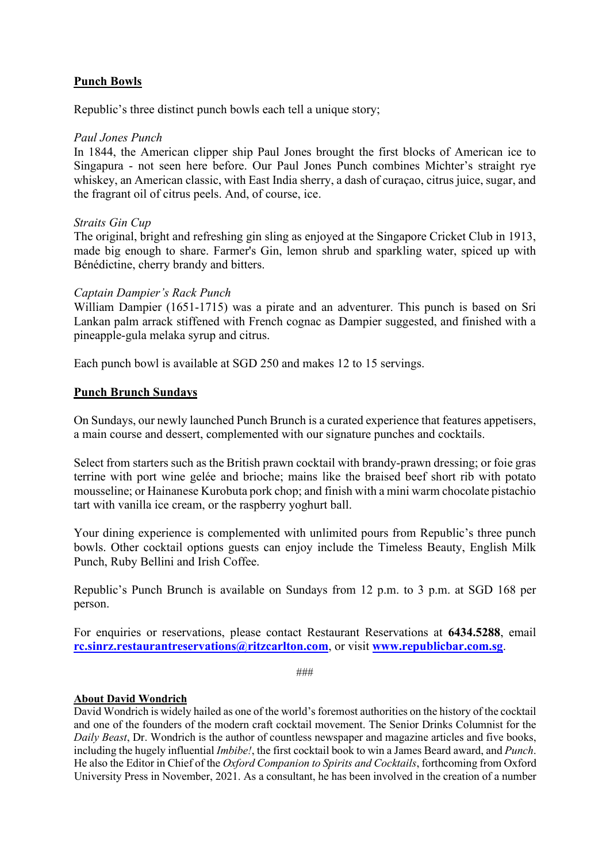# **Punch Bowls**

Republic's three distinct punch bowls each tell a unique story;

# *Paul Jones Punch*

In 1844, the American clipper ship Paul Jones brought the first blocks of American ice to Singapura - not seen here before. Our Paul Jones Punch combines Michter's straight rye whiskey, an American classic, with East India sherry, a dash of curaçao, citrus juice, sugar, and the fragrant oil of citrus peels. And, of course, ice.

#### *Straits Gin Cup*

The original, bright and refreshing gin sling as enjoyed at the Singapore Cricket Club in 1913, made big enough to share. Farmer's Gin, lemon shrub and sparkling water, spiced up with Bénédictine, cherry brandy and bitters.

# *Captain Dampier's Rack Punch*

William Dampier (1651-1715) was a pirate and an adventurer. This punch is based on Sri Lankan palm arrack stiffened with French cognac as Dampier suggested, and finished with a pineapple-gula melaka syrup and citrus.

Each punch bowl is available at SGD 250 and makes 12 to 15 servings.

# **Punch Brunch Sundays**

On Sundays, our newly launched Punch Brunch is a curated experience that features appetisers, a main course and dessert, complemented with our signature punches and cocktails.

Select from starters such as the British prawn cocktail with brandy-prawn dressing; or foie gras terrine with port wine gelée and brioche; mains like the braised beef short rib with potato mousseline; or Hainanese Kurobuta pork chop; and finish with a mini warm chocolate pistachio tart with vanilla ice cream, or the raspberry yoghurt ball.

Your dining experience is complemented with unlimited pours from Republic's three punch bowls. Other cocktail options guests can enjoy include the Timeless Beauty, English Milk Punch, Ruby Bellini and Irish Coffee.

Republic's Punch Brunch is available on Sundays from 12 p.m. to 3 p.m. at SGD 168 per person.

For enquiries or reservations, please contact Restaurant Reservations at **6434.5288**, email **rc.sinrz.restaurantreservations@ritzcarlton.com**, or visit **www.republicbar.com.sg**.

###

#### **About David Wondrich**

David Wondrich is widely hailed as one of the world's foremost authorities on the history of the cocktail and one of the founders of the modern craft cocktail movement. The Senior Drinks Columnist for the *Daily Beast*, Dr. Wondrich is the author of countless newspaper and magazine articles and five books, including the hugely influential *Imbibe!*, the first cocktail book to win a James Beard award, and *Punch*. He also the Editor in Chief of the *Oxford Companion to Spirits and Cocktails*, forthcoming from Oxford University Press in November, 2021. As a consultant, he has been involved in the creation of a number